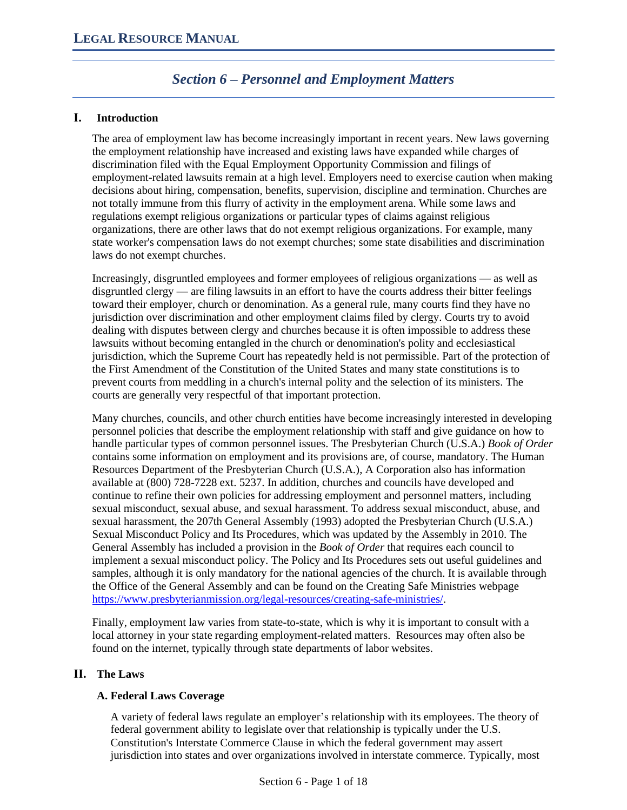# *Section 6 – Personnel and Employment Matters*

# **I. Introduction**

The area of employment law has become increasingly important in recent years. New laws governing the employment relationship have increased and existing laws have expanded while charges of discrimination filed with the Equal Employment Opportunity Commission and filings of employment-related lawsuits remain at a high level. Employers need to exercise caution when making decisions about hiring, compensation, benefits, supervision, discipline and termination. Churches are not totally immune from this flurry of activity in the employment arena. While some laws and regulations exempt religious organizations or particular types of claims against religious organizations, there are other laws that do not exempt religious organizations. For example, many state worker's compensation laws do not exempt churches; some state disabilities and discrimination laws do not exempt churches.

Increasingly, disgruntled employees and former employees of religious organizations — as well as disgruntled clergy — are filing lawsuits in an effort to have the courts address their bitter feelings toward their employer, church or denomination. As a general rule, many courts find they have no jurisdiction over discrimination and other employment claims filed by clergy. Courts try to avoid dealing with disputes between clergy and churches because it is often impossible to address these lawsuits without becoming entangled in the church or denomination's polity and ecclesiastical jurisdiction, which the Supreme Court has repeatedly held is not permissible. Part of the protection of the First Amendment of the Constitution of the United States and many state constitutions is to prevent courts from meddling in a church's internal polity and the selection of its ministers. The courts are generally very respectful of that important protection.

Many churches, councils, and other church entities have become increasingly interested in developing personnel policies that describe the employment relationship with staff and give guidance on how to handle particular types of common personnel issues. The Presbyterian Church (U.S.A.) *Book of Order* contains some information on employment and its provisions are, of course, mandatory. The Human Resources Department of the Presbyterian Church (U.S.A.), A Corporation also has information available at (800) 728-7228 ext. 5237. In addition, churches and councils have developed and continue to refine their own policies for addressing employment and personnel matters, including sexual misconduct, sexual abuse, and sexual harassment. To address sexual misconduct, abuse, and sexual harassment, the 207th General Assembly (1993) adopted the Presbyterian Church (U.S.A.) Sexual Misconduct Policy and Its Procedures, which was updated by the Assembly in 2010. The General Assembly has included a provision in the *Book of Order* that requires each council to implement a sexual misconduct policy. The Policy and Its Procedures sets out useful guidelines and samples, although it is only mandatory for the national agencies of the church. It is available through the Office of the General Assembly and can be found on the Creating Safe Ministries webpage [https://www.presbyterianmission.org/legal-resources/creating-safe-ministries/.](https://www.presbyterianmission.org/legal-resources/creating-safe-ministries/)

Finally, employment law varies from state-to-state, which is why it is important to consult with a local attorney in your state regarding employment-related matters. Resources may often also be found on the internet, typically through state departments of labor websites.

# **II. The Laws**

# **A. Federal Laws Coverage**

A variety of federal laws regulate an employer's relationship with its employees. The theory of federal government ability to legislate over that relationship is typically under the U.S. Constitution's Interstate Commerce Clause in which the federal government may assert jurisdiction into states and over organizations involved in interstate commerce. Typically, most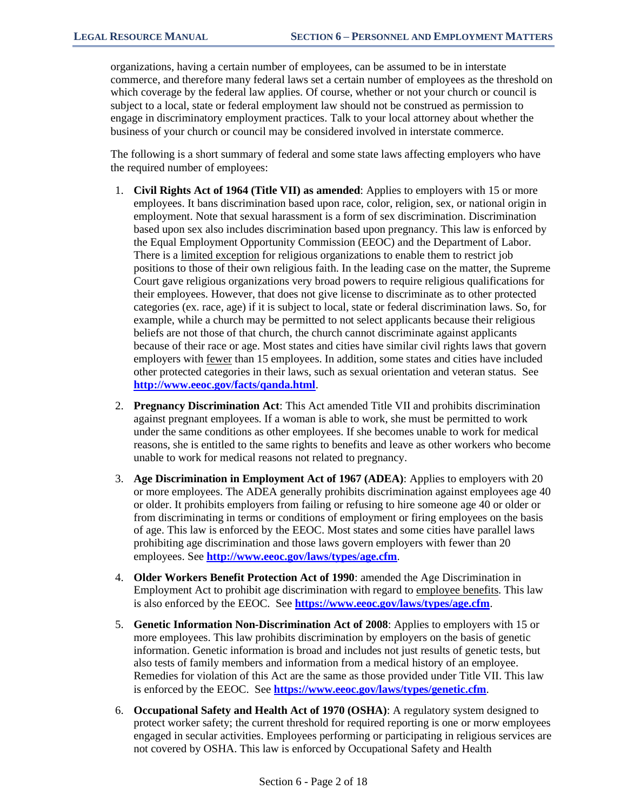organizations, having a certain number of employees, can be assumed to be in interstate commerce, and therefore many federal laws set a certain number of employees as the threshold on which coverage by the federal law applies. Of course, whether or not your church or council is subject to a local, state or federal employment law should not be construed as permission to engage in discriminatory employment practices. Talk to your local attorney about whether the business of your church or council may be considered involved in interstate commerce.

The following is a short summary of federal and some state laws affecting employers who have the required number of employees:

- 1. **Civil Rights Act of 1964 (Title VII) as amended**: Applies to employers with 15 or more employees. It bans discrimination based upon race, color, religion, sex, or national origin in employment. Note that sexual harassment is a form of sex discrimination. Discrimination based upon sex also includes discrimination based upon pregnancy. This law is enforced by the Equal Employment Opportunity Commission (EEOC) and the Department of Labor. There is a limited exception for religious organizations to enable them to restrict job positions to those of their own religious faith. In the leading case on the matter, the Supreme Court gave religious organizations very broad powers to require religious qualifications for their employees. However, that does not give license to discriminate as to other protected categories (ex. race, age) if it is subject to local, state or federal discrimination laws. So, for example, while a church may be permitted to not select applicants because their religious beliefs are not those of that church, the church cannot discriminate against applicants because of their race or age. Most states and cities have similar civil rights laws that govern employers with <u>fewer</u> than 15 employees. In addition, some states and cities have included other protected categories in their laws, such as sexual orientation and veteran status. See **<http://www.eeoc.gov/facts/qanda.html>**.
- 2. **Pregnancy Discrimination Act**: This Act amended Title VII and prohibits discrimination against pregnant employees. If a woman is able to work, she must be permitted to work under the same conditions as other employees. If she becomes unable to work for medical reasons, she is entitled to the same rights to benefits and leave as other workers who become unable to work for medical reasons not related to pregnancy.
- 3. **Age Discrimination in Employment Act of 1967 (ADEA)**: Applies to employers with 20 or more employees. The ADEA generally prohibits discrimination against employees age 40 or older. It prohibits employers from failing or refusing to hire someone age 40 or older or from discriminating in terms or conditions of employment or firing employees on the basis of age. This law is enforced by the EEOC. Most states and some cities have parallel laws prohibiting age discrimination and those laws govern employers with fewer than 20 employees. See **<http://www.eeoc.gov/laws/types/age.cfm>**.
- 4. **Older Workers Benefit Protection Act of 1990**: amended the Age Discrimination in Employment Act to prohibit age discrimination with regard to employee benefits. This law is also enforced by the EEOC. See **<https://www.eeoc.gov/laws/types/age.cfm>**.
- 5. **Genetic Information Non-Discrimination Act of 2008**: Applies to employers with 15 or more employees. This law prohibits discrimination by employers on the basis of genetic information. Genetic information is broad and includes not just results of genetic tests, but also tests of family members and information from a medical history of an employee. Remedies for violation of this Act are the same as those provided under Title VII. This law is enforced by the EEOC. See **<https://www.eeoc.gov/laws/types/genetic.cfm>**.
- 6. **Occupational Safety and Health Act of 1970 (OSHA)**: A regulatory system designed to protect worker safety; the current threshold for required reporting is one or morw employees engaged in secular activities. Employees performing or participating in religious services are not covered by OSHA. This law is enforced by Occupational Safety and Health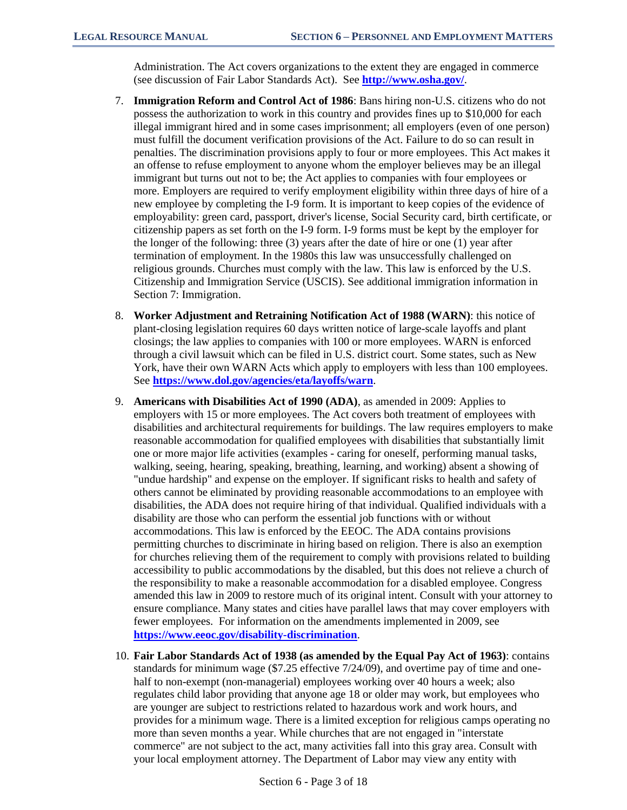Administration. The Act covers organizations to the extent they are engaged in commerce (see discussion of Fair Labor Standards Act). See **<http://www.osha.gov/>**.

- 7. **Immigration Reform and Control Act of 1986**: Bans hiring non-U.S. citizens who do not possess the authorization to work in this country and provides fines up to \$10,000 for each illegal immigrant hired and in some cases imprisonment; all employers (even of one person) must fulfill the document verification provisions of the Act. Failure to do so can result in penalties. The discrimination provisions apply to four or more employees. This Act makes it an offense to refuse employment to anyone whom the employer believes may be an illegal immigrant but turns out not to be; the Act applies to companies with four employees or more. Employers are required to verify employment eligibility within three days of hire of a new employee by completing the I-9 form. It is important to keep copies of the evidence of employability: green card, passport, driver's license, Social Security card, birth certificate, or citizenship papers as set forth on the I-9 form. I-9 forms must be kept by the employer for the longer of the following: three (3) years after the date of hire or one (1) year after termination of employment. In the 1980s this law was unsuccessfully challenged on religious grounds. Churches must comply with the law. This law is enforced by the U.S. Citizenship and Immigration Service (USCIS). See additional immigration information in Section 7: Immigration.
- 8. **Worker Adjustment and Retraining Notification Act of 1988 (WARN)**: this notice of plant-closing legislation requires 60 days written notice of large-scale layoffs and plant closings; the law applies to companies with 100 or more employees. WARN is enforced through a civil lawsuit which can be filed in U.S. district court. Some states, such as New York, have their own WARN Acts which apply to employers with less than 100 employees. See **<https://www.dol.gov/agencies/eta/layoffs/warn>**.
- 9. **Americans with Disabilities Act of 1990 (ADA)**, as amended in 2009: Applies to employers with 15 or more employees. The Act covers both treatment of employees with disabilities and architectural requirements for buildings. The law requires employers to make reasonable accommodation for qualified employees with disabilities that substantially limit one or more major life activities (examples - caring for oneself, performing manual tasks, walking, seeing, hearing, speaking, breathing, learning, and working) absent a showing of "undue hardship" and expense on the employer. If significant risks to health and safety of others cannot be eliminated by providing reasonable accommodations to an employee with disabilities, the ADA does not require hiring of that individual. Qualified individuals with a disability are those who can perform the essential job functions with or without accommodations. This law is enforced by the EEOC. The ADA contains provisions permitting churches to discriminate in hiring based on religion. There is also an exemption for churches relieving them of the requirement to comply with provisions related to building accessibility to public accommodations by the disabled, but this does not relieve a church of the responsibility to make a reasonable accommodation for a disabled employee. Congress amended this law in 2009 to restore much of its original intent. Consult with your attorney to ensure compliance. Many states and cities have parallel laws that may cover employers with fewer employees. For information on the amendments implemented in 2009, see **<https://www.eeoc.gov/disability-discrimination>**.
- 10. **Fair Labor Standards Act of 1938 (as amended by the Equal Pay Act of 1963)**: contains standards for minimum wage (\$7.25 effective 7/24/09), and overtime pay of time and onehalf to non-exempt (non-managerial) employees working over 40 hours a week; also regulates child labor providing that anyone age 18 or older may work, but employees who are younger are subject to restrictions related to hazardous work and work hours, and provides for a minimum wage. There is a limited exception for religious camps operating no more than seven months a year. While churches that are not engaged in "interstate commerce" are not subject to the act, many activities fall into this gray area. Consult with your local employment attorney. The Department of Labor may view any entity with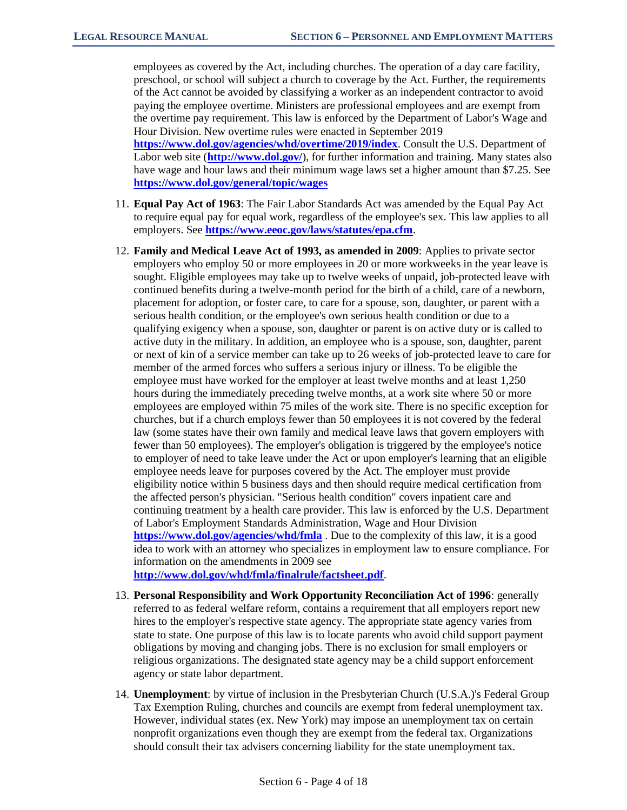employees as covered by the Act, including churches. The operation of a day care facility, preschool, or school will subject a church to coverage by the Act. Further, the requirements of the Act cannot be avoided by classifying a worker as an independent contractor to avoid paying the employee overtime. Ministers are professional employees and are exempt from the overtime pay requirement. This law is enforced by the Department of Labor's Wage and Hour Division. New overtime rules were enacted in September 2019 **<https://www.dol.gov/agencies/whd/overtime/2019/index>**. Consult the U.S. Department of

Labor web site (**<http://www.dol.gov/>**), for further information and training. Many states also have wage and hour laws and their minimum wage laws set a higher amount than \$7.25. See **<https://www.dol.gov/general/topic/wages>**

- 11. **Equal Pay Act of 1963**: The Fair Labor Standards Act was amended by the Equal Pay Act to require equal pay for equal work, regardless of the employee's sex. This law applies to all employers. See **<https://www.eeoc.gov/laws/statutes/epa.cfm>**.
- 12. **Family and Medical Leave Act of 1993, as amended in 2009**: Applies to private sector employers who employ 50 or more employees in 20 or more workweeks in the year leave is sought. Eligible employees may take up to twelve weeks of unpaid, job-protected leave with continued benefits during a twelve-month period for the birth of a child, care of a newborn, placement for adoption, or foster care, to care for a spouse, son, daughter, or parent with a serious health condition, or the employee's own serious health condition or due to a qualifying exigency when a spouse, son, daughter or parent is on active duty or is called to active duty in the military. In addition, an employee who is a spouse, son, daughter, parent or next of kin of a service member can take up to 26 weeks of job-protected leave to care for member of the armed forces who suffers a serious injury or illness. To be eligible the employee must have worked for the employer at least twelve months and at least 1,250 hours during the immediately preceding twelve months, at a work site where 50 or more employees are employed within 75 miles of the work site. There is no specific exception for churches, but if a church employs fewer than 50 employees it is not covered by the federal law (some states have their own family and medical leave laws that govern employers with fewer than 50 employees). The employer's obligation is triggered by the employee's notice to employer of need to take leave under the Act or upon employer's learning that an eligible employee needs leave for purposes covered by the Act. The employer must provide eligibility notice within 5 business days and then should require medical certification from the affected person's physician. "Serious health condition" covers inpatient care and continuing treatment by a health care provider. This law is enforced by the U.S. Department of Labor's Employment Standards Administration, Wage and Hour Division **<https://www.dol.gov/agencies/whd/fmla>** . Due to the complexity of this law, it is a good idea to work with an attorney who specializes in employment law to ensure compliance. For information on the amendments in 2009 see **<http://www.dol.gov/whd/fmla/finalrule/factsheet.pdf>**.
- 13. **Personal Responsibility and Work Opportunity Reconciliation Act of 1996**: generally referred to as federal welfare reform, contains a requirement that all employers report new hires to the employer's respective state agency. The appropriate state agency varies from state to state. One purpose of this law is to locate parents who avoid child support payment obligations by moving and changing jobs. There is no exclusion for small employers or religious organizations. The designated state agency may be a child support enforcement agency or state labor department.
- 14. **Unemployment**: by virtue of inclusion in the Presbyterian Church (U.S.A.)'s Federal Group Tax Exemption Ruling, churches and councils are exempt from federal unemployment tax. However, individual states (ex. New York) may impose an unemployment tax on certain nonprofit organizations even though they are exempt from the federal tax. Organizations should consult their tax advisers concerning liability for the state unemployment tax.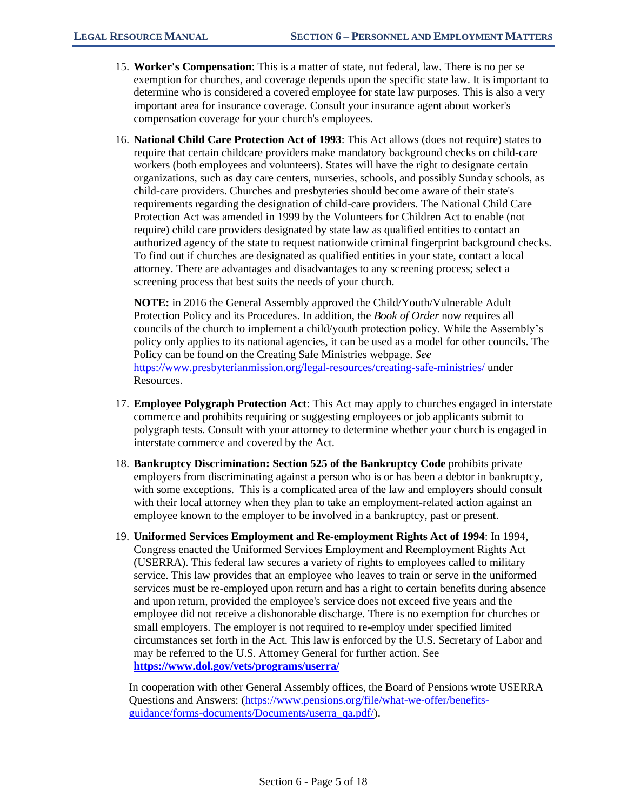- 15. **Worker's Compensation**: This is a matter of state, not federal, law. There is no per se exemption for churches, and coverage depends upon the specific state law. It is important to determine who is considered a covered employee for state law purposes. This is also a very important area for insurance coverage. Consult your insurance agent about worker's compensation coverage for your church's employees.
- 16. **National Child Care Protection Act of 1993**: This Act allows (does not require) states to require that certain childcare providers make mandatory background checks on child-care workers (both employees and volunteers). States will have the right to designate certain organizations, such as day care centers, nurseries, schools, and possibly Sunday schools, as child-care providers. Churches and presbyteries should become aware of their state's requirements regarding the designation of child-care providers. The National Child Care Protection Act was amended in 1999 by the Volunteers for Children Act to enable (not require) child care providers designated by state law as qualified entities to contact an authorized agency of the state to request nationwide criminal fingerprint background checks. To find out if churches are designated as qualified entities in your state, contact a local attorney. There are advantages and disadvantages to any screening process; select a screening process that best suits the needs of your church.

**NOTE:** in 2016 the General Assembly approved the Child/Youth/Vulnerable Adult Protection Policy and its Procedures. In addition, the *Book of Order* now requires all councils of the church to implement a child/youth protection policy. While the Assembly's policy only applies to its national agencies, it can be used as a model for other councils. The Policy can be found on the Creating Safe Ministries webpage. *See*  <https://www.presbyterianmission.org/legal-resources/creating-safe-ministries/> under Resources.

- 17. **Employee Polygraph Protection Act**: This Act may apply to churches engaged in interstate commerce and prohibits requiring or suggesting employees or job applicants submit to polygraph tests. Consult with your attorney to determine whether your church is engaged in interstate commerce and covered by the Act.
- 18. **Bankruptcy Discrimination: Section 525 of the Bankruptcy Code** prohibits private employers from discriminating against a person who is or has been a debtor in bankruptcy, with some exceptions. This is a complicated area of the law and employers should consult with their local attorney when they plan to take an employment-related action against an employee known to the employer to be involved in a bankruptcy, past or present.
- 19. **Uniformed Services Employment and Re-employment Rights Act of 1994**: In 1994, Congress enacted the Uniformed Services Employment and Reemployment Rights Act (USERRA). This federal law secures a variety of rights to employees called to military service. This law provides that an employee who leaves to train or serve in the uniformed services must be re-employed upon return and has a right to certain benefits during absence and upon return, provided the employee's service does not exceed five years and the employee did not receive a dishonorable discharge. There is no exemption for churches or small employers. The employer is not required to re-employ under specified limited circumstances set forth in the Act. This law is enforced by the U.S. Secretary of Labor and may be referred to the U.S. Attorney General for further action. See **<https://www.dol.gov/vets/programs/userra/>**

In cooperation with other General Assembly offices, the Board of Pensions wrote USERRA Questions and Answers: [\(https://www.pensions.org/file/what-we-offer/benefits](https://www.pensions.org/file/what-we-offer/benefits-guidance/forms-documents/Documents/userra_qa.pdf/)[guidance/forms-documents/Documents/userra\\_qa.pdf/\)](https://www.pensions.org/file/what-we-offer/benefits-guidance/forms-documents/Documents/userra_qa.pdf/).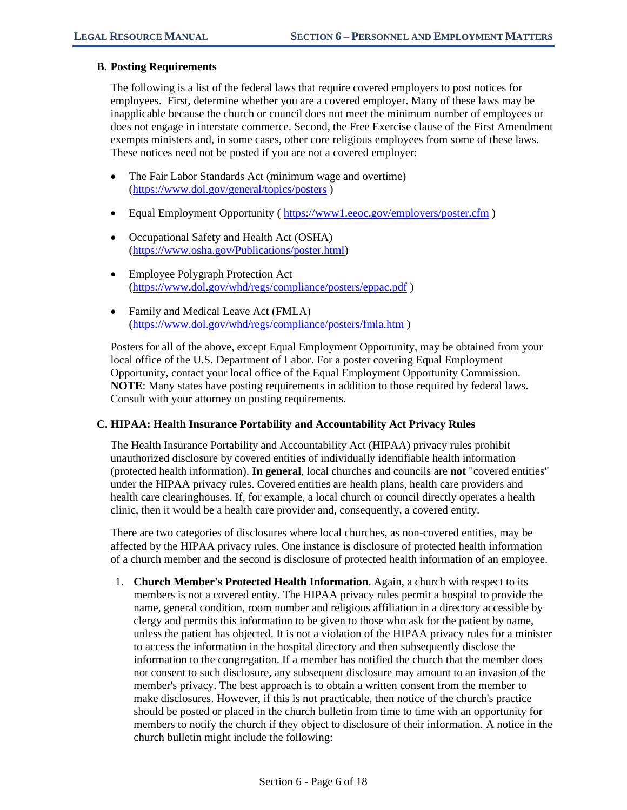## **B. Posting Requirements**

The following is a list of the federal laws that require covered employers to post notices for employees. First, determine whether you are a covered employer. Many of these laws may be inapplicable because the church or council does not meet the minimum number of employees or does not engage in interstate commerce. Second, the Free Exercise clause of the First Amendment exempts ministers and, in some cases, other core religious employees from some of these laws. These notices need not be posted if you are not a covered employer:

- The Fair Labor Standards Act (minimum wage and overtime) [\(https://www.dol.gov/general/topics/posters](https://www.dol.gov/general/topics/posters) )
- Equal Employment Opportunity (https://www1.eeoc.gov/employers/poster.cfm)
- Occupational Safety and Health Act (OSHA) [\(https://www.osha.gov/Publications/poster.html\)](https://www.osha.gov/Publications/poster.html)
- Employee Polygraph Protection Act [\(https://www.dol.gov/whd/regs/compliance/posters/eppac.pdf](https://www.dol.gov/whd/regs/compliance/posters/eppac.pdf) )
- Family and Medical Leave Act (FMLA) [\(https://www.dol.gov/whd/regs/compliance/posters/fmla.htm](https://www.dol.gov/whd/regs/compliance/posters/fmla.htm) )

Posters for all of the above, except Equal Employment Opportunity, may be obtained from your local office of the U.S. Department of Labor. For a poster covering Equal Employment Opportunity, contact your local office of the Equal Employment Opportunity Commission. **NOTE**: Many states have posting requirements in addition to those required by federal laws. Consult with your attorney on posting requirements.

## **C. HIPAA: Health Insurance Portability and Accountability Act Privacy Rules**

The Health Insurance Portability and Accountability Act (HIPAA) privacy rules prohibit unauthorized disclosure by covered entities of individually identifiable health information (protected health information). **In general**, local churches and councils are **not** "covered entities" under the HIPAA privacy rules. Covered entities are health plans, health care providers and health care clearinghouses. If, for example, a local church or council directly operates a health clinic, then it would be a health care provider and, consequently, a covered entity.

There are two categories of disclosures where local churches, as non-covered entities, may be affected by the HIPAA privacy rules. One instance is disclosure of protected health information of a church member and the second is disclosure of protected health information of an employee.

1. **Church Member's Protected Health Information**. Again, a church with respect to its members is not a covered entity. The HIPAA privacy rules permit a hospital to provide the name, general condition, room number and religious affiliation in a directory accessible by clergy and permits this information to be given to those who ask for the patient by name, unless the patient has objected. It is not a violation of the HIPAA privacy rules for a minister to access the information in the hospital directory and then subsequently disclose the information to the congregation. If a member has notified the church that the member does not consent to such disclosure, any subsequent disclosure may amount to an invasion of the member's privacy. The best approach is to obtain a written consent from the member to make disclosures. However, if this is not practicable, then notice of the church's practice should be posted or placed in the church bulletin from time to time with an opportunity for members to notify the church if they object to disclosure of their information. A notice in the church bulletin might include the following: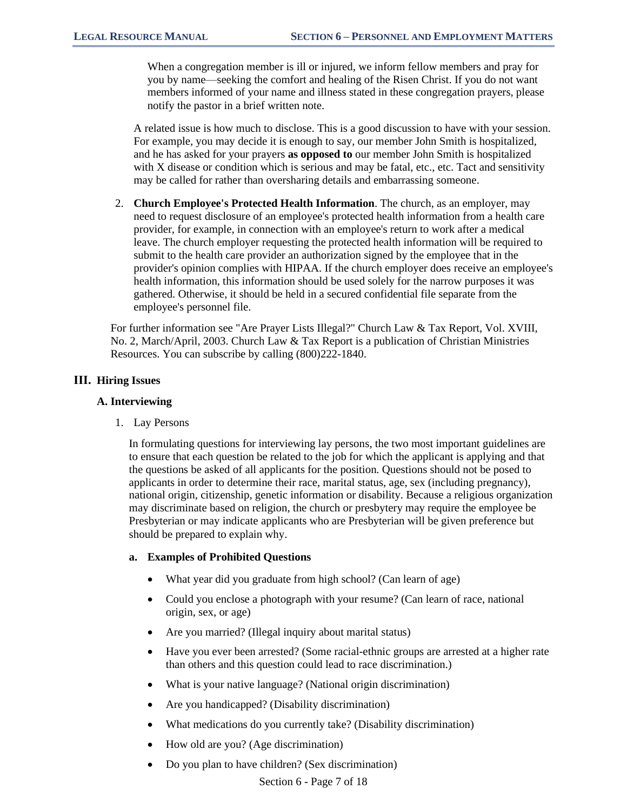When a congregation member is ill or injured, we inform fellow members and pray for you by name—seeking the comfort and healing of the Risen Christ. If you do not want members informed of your name and illness stated in these congregation prayers, please notify the pastor in a brief written note.

A related issue is how much to disclose. This is a good discussion to have with your session. For example, you may decide it is enough to say, our member John Smith is hospitalized, and he has asked for your prayers **as opposed to** our member John Smith is hospitalized with X disease or condition which is serious and may be fatal, etc., etc. Tact and sensitivity may be called for rather than oversharing details and embarrassing someone.

2. **Church Employee's Protected Health Information**. The church, as an employer, may need to request disclosure of an employee's protected health information from a health care provider, for example, in connection with an employee's return to work after a medical leave. The church employer requesting the protected health information will be required to submit to the health care provider an authorization signed by the employee that in the provider's opinion complies with HIPAA. If the church employer does receive an employee's health information, this information should be used solely for the narrow purposes it was gathered. Otherwise, it should be held in a secured confidential file separate from the employee's personnel file.

For further information see "Are Prayer Lists Illegal?" Church Law & Tax Report, Vol. XVIII, No. 2, March/April, 2003. Church Law & Tax Report is a publication of Christian Ministries Resources. You can subscribe by calling (800)222-1840.

## **III. Hiring Issues**

#### **A. Interviewing**

1. Lay Persons

In formulating questions for interviewing lay persons, the two most important guidelines are to ensure that each question be related to the job for which the applicant is applying and that the questions be asked of all applicants for the position. Questions should not be posed to applicants in order to determine their race, marital status, age, sex (including pregnancy), national origin, citizenship, genetic information or disability. Because a religious organization may discriminate based on religion, the church or presbytery may require the employee be Presbyterian or may indicate applicants who are Presbyterian will be given preference but should be prepared to explain why.

#### **a. Examples of Prohibited Questions**

- What year did you graduate from high school? (Can learn of age)
- Could you enclose a photograph with your resume? (Can learn of race, national origin, sex, or age)
- Are you married? (Illegal inquiry about marital status)
- Have you ever been arrested? (Some racial-ethnic groups are arrested at a higher rate than others and this question could lead to race discrimination.)
- What is your native language? (National origin discrimination)
- Are you handicapped? (Disability discrimination)
- What medications do you currently take? (Disability discrimination)
- How old are you? (Age discrimination)
- Do you plan to have children? (Sex discrimination)

Section 6 - Page 7 of 18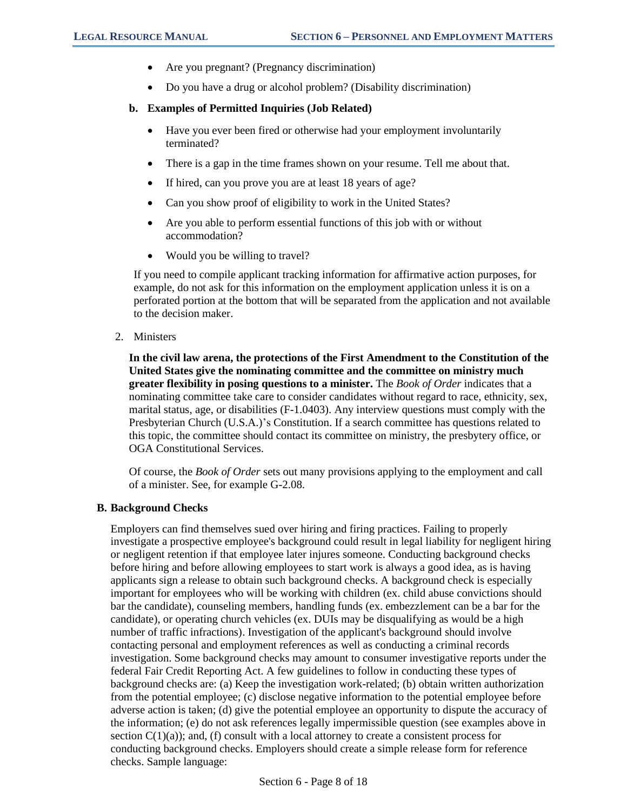- Are you pregnant? (Pregnancy discrimination)
- Do you have a drug or alcohol problem? (Disability discrimination)

#### **b. Examples of Permitted Inquiries (Job Related)**

- Have you ever been fired or otherwise had your employment involuntarily terminated?
- There is a gap in the time frames shown on your resume. Tell me about that.
- If hired, can you prove you are at least 18 years of age?
- Can you show proof of eligibility to work in the United States?
- Are you able to perform essential functions of this job with or without accommodation?
- Would you be willing to travel?

If you need to compile applicant tracking information for affirmative action purposes, for example, do not ask for this information on the employment application unless it is on a perforated portion at the bottom that will be separated from the application and not available to the decision maker.

2. Ministers

**In the civil law arena, the protections of the First Amendment to the Constitution of the United States give the nominating committee and the committee on ministry much greater flexibility in posing questions to a minister.** The *Book of Order* indicates that a nominating committee take care to consider candidates without regard to race, ethnicity, sex, marital status, age, or disabilities (F-1.0403). Any interview questions must comply with the Presbyterian Church (U.S.A.)'s Constitution. If a search committee has questions related to this topic, the committee should contact its committee on ministry, the presbytery office, or OGA Constitutional Services.

Of course, the *Book of Order* sets out many provisions applying to the employment and call of a minister. See, for example G-2.08.

#### **B. Background Checks**

Employers can find themselves sued over hiring and firing practices. Failing to properly investigate a prospective employee's background could result in legal liability for negligent hiring or negligent retention if that employee later injures someone. Conducting background checks before hiring and before allowing employees to start work is always a good idea, as is having applicants sign a release to obtain such background checks. A background check is especially important for employees who will be working with children (ex. child abuse convictions should bar the candidate), counseling members, handling funds (ex. embezzlement can be a bar for the candidate), or operating church vehicles (ex. DUIs may be disqualifying as would be a high number of traffic infractions). Investigation of the applicant's background should involve contacting personal and employment references as well as conducting a criminal records investigation. Some background checks may amount to consumer investigative reports under the federal Fair Credit Reporting Act. A few guidelines to follow in conducting these types of background checks are: (a) Keep the investigation work-related; (b) obtain written authorization from the potential employee; (c) disclose negative information to the potential employee before adverse action is taken; (d) give the potential employee an opportunity to dispute the accuracy of the information; (e) do not ask references legally impermissible question (see examples above in section  $C(1)(a)$ ; and, (f) consult with a local attorney to create a consistent process for conducting background checks. Employers should create a simple release form for reference checks. Sample language: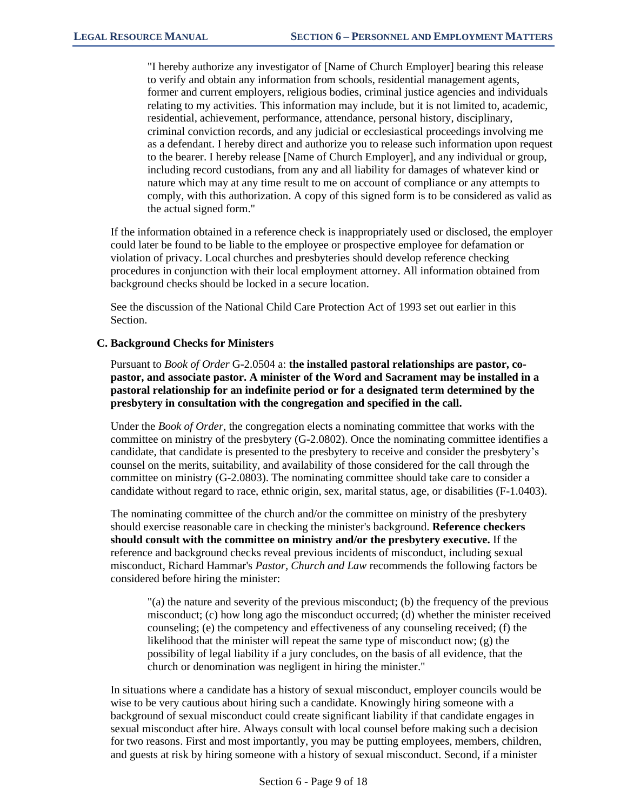"I hereby authorize any investigator of [Name of Church Employer] bearing this release to verify and obtain any information from schools, residential management agents, former and current employers, religious bodies, criminal justice agencies and individuals relating to my activities. This information may include, but it is not limited to, academic, residential, achievement, performance, attendance, personal history, disciplinary, criminal conviction records, and any judicial or ecclesiastical proceedings involving me as a defendant. I hereby direct and authorize you to release such information upon request to the bearer. I hereby release [Name of Church Employer], and any individual or group, including record custodians, from any and all liability for damages of whatever kind or nature which may at any time result to me on account of compliance or any attempts to comply, with this authorization. A copy of this signed form is to be considered as valid as the actual signed form."

If the information obtained in a reference check is inappropriately used or disclosed, the employer could later be found to be liable to the employee or prospective employee for defamation or violation of privacy. Local churches and presbyteries should develop reference checking procedures in conjunction with their local employment attorney. All information obtained from background checks should be locked in a secure location.

See the discussion of the National Child Care Protection Act of 1993 set out earlier in this Section.

## **C. Background Checks for Ministers**

Pursuant to *Book of Order* G-2.0504 a: **the installed pastoral relationships are pastor, copastor, and associate pastor. A minister of the Word and Sacrament may be installed in a pastoral relationship for an indefinite period or for a designated term determined by the presbytery in consultation with the congregation and specified in the call.**

Under the *Book of Order*, the congregation elects a nominating committee that works with the committee on ministry of the presbytery (G-2.0802). Once the nominating committee identifies a candidate, that candidate is presented to the presbytery to receive and consider the presbytery's counsel on the merits, suitability, and availability of those considered for the call through the committee on ministry (G-2.0803). The nominating committee should take care to consider a candidate without regard to race, ethnic origin, sex, marital status, age, or disabilities (F-1.0403).

The nominating committee of the church and/or the committee on ministry of the presbytery should exercise reasonable care in checking the minister's background. **Reference checkers should consult with the committee on ministry and/or the presbytery executive.** If the reference and background checks reveal previous incidents of misconduct, including sexual misconduct, Richard Hammar's *Pastor, Church and Law* recommends the following factors be considered before hiring the minister:

"(a) the nature and severity of the previous misconduct; (b) the frequency of the previous misconduct; (c) how long ago the misconduct occurred; (d) whether the minister received counseling; (e) the competency and effectiveness of any counseling received; (f) the likelihood that the minister will repeat the same type of misconduct now; (g) the possibility of legal liability if a jury concludes, on the basis of all evidence, that the church or denomination was negligent in hiring the minister."

In situations where a candidate has a history of sexual misconduct, employer councils would be wise to be very cautious about hiring such a candidate. Knowingly hiring someone with a background of sexual misconduct could create significant liability if that candidate engages in sexual misconduct after hire. Always consult with local counsel before making such a decision for two reasons. First and most importantly, you may be putting employees, members, children, and guests at risk by hiring someone with a history of sexual misconduct. Second, if a minister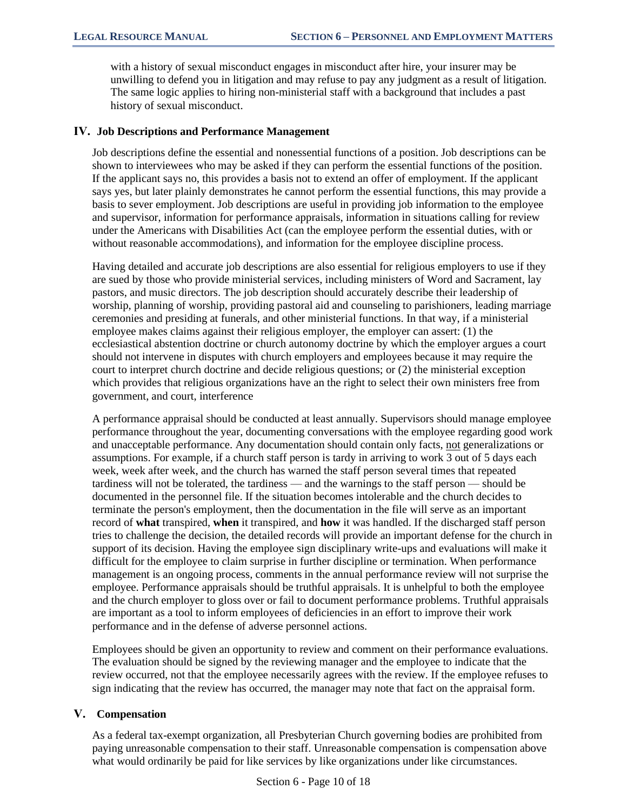with a history of sexual misconduct engages in misconduct after hire, your insurer may be unwilling to defend you in litigation and may refuse to pay any judgment as a result of litigation. The same logic applies to hiring non-ministerial staff with a background that includes a past history of sexual misconduct.

#### **IV. Job Descriptions and Performance Management**

Job descriptions define the essential and nonessential functions of a position. Job descriptions can be shown to interviewees who may be asked if they can perform the essential functions of the position. If the applicant says no, this provides a basis not to extend an offer of employment. If the applicant says yes, but later plainly demonstrates he cannot perform the essential functions, this may provide a basis to sever employment. Job descriptions are useful in providing job information to the employee and supervisor, information for performance appraisals, information in situations calling for review under the Americans with Disabilities Act (can the employee perform the essential duties, with or without reasonable accommodations), and information for the employee discipline process.

Having detailed and accurate job descriptions are also essential for religious employers to use if they are sued by those who provide ministerial services, including ministers of Word and Sacrament, lay pastors, and music directors. The job description should accurately describe their leadership of worship, planning of worship, providing pastoral aid and counseling to parishioners, leading marriage ceremonies and presiding at funerals, and other ministerial functions. In that way, if a ministerial employee makes claims against their religious employer, the employer can assert: (1) the ecclesiastical abstention doctrine or church autonomy doctrine by which the employer argues a court should not intervene in disputes with church employers and employees because it may require the court to interpret church doctrine and decide religious questions; or (2) the ministerial exception which provides that religious organizations have an the right to select their own ministers free from government, and court, interference

A performance appraisal should be conducted at least annually. Supervisors should manage employee performance throughout the year, documenting conversations with the employee regarding good work and unacceptable performance. Any documentation should contain only facts, not generalizations or assumptions. For example, if a church staff person is tardy in arriving to work 3 out of 5 days each week, week after week, and the church has warned the staff person several times that repeated tardiness will not be tolerated, the tardiness — and the warnings to the staff person — should be documented in the personnel file. If the situation becomes intolerable and the church decides to terminate the person's employment, then the documentation in the file will serve as an important record of **what** transpired, **when** it transpired, and **how** it was handled. If the discharged staff person tries to challenge the decision, the detailed records will provide an important defense for the church in support of its decision. Having the employee sign disciplinary write-ups and evaluations will make it difficult for the employee to claim surprise in further discipline or termination. When performance management is an ongoing process, comments in the annual performance review will not surprise the employee. Performance appraisals should be truthful appraisals. It is unhelpful to both the employee and the church employer to gloss over or fail to document performance problems. Truthful appraisals are important as a tool to inform employees of deficiencies in an effort to improve their work performance and in the defense of adverse personnel actions.

Employees should be given an opportunity to review and comment on their performance evaluations. The evaluation should be signed by the reviewing manager and the employee to indicate that the review occurred, not that the employee necessarily agrees with the review. If the employee refuses to sign indicating that the review has occurred, the manager may note that fact on the appraisal form.

## **V. Compensation**

As a federal tax-exempt organization, all Presbyterian Church governing bodies are prohibited from paying unreasonable compensation to their staff. Unreasonable compensation is compensation above what would ordinarily be paid for like services by like organizations under like circumstances.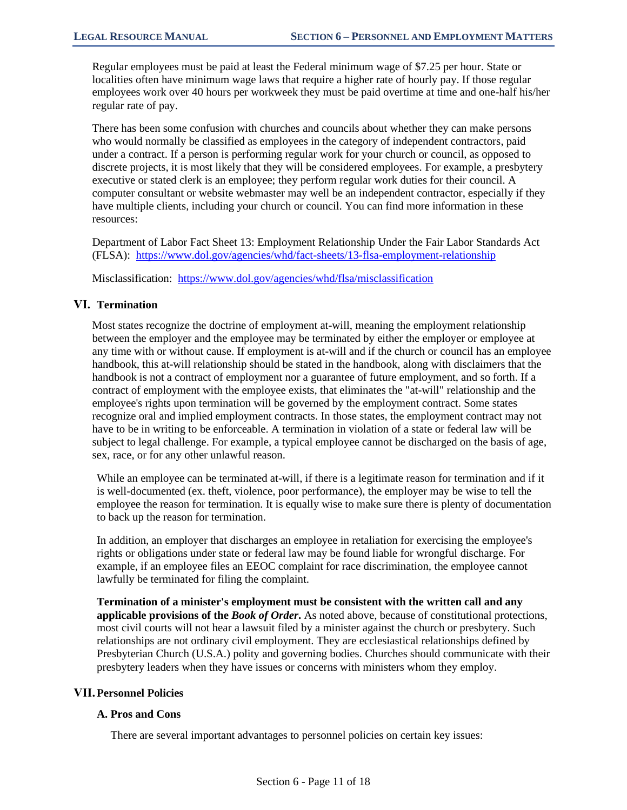Regular employees must be paid at least the Federal minimum wage of \$7.25 per hour. State or localities often have minimum wage laws that require a higher rate of hourly pay. If those regular employees work over 40 hours per workweek they must be paid overtime at time and one-half his/her regular rate of pay.

There has been some confusion with churches and councils about whether they can make persons who would normally be classified as employees in the category of independent contractors, paid under a contract. If a person is performing regular work for your church or council, as opposed to discrete projects, it is most likely that they will be considered employees. For example, a presbytery executive or stated clerk is an employee; they perform regular work duties for their council. A computer consultant or website webmaster may well be an independent contractor, especially if they have multiple clients, including your church or council. You can find more information in these resources:

Department of Labor Fact Sheet 13: Employment Relationship Under the Fair Labor Standards Act (FLSA): <https://www.dol.gov/agencies/whd/fact-sheets/13-flsa-employment-relationship>

Misclassification:<https://www.dol.gov/agencies/whd/flsa/misclassification>

# **VI. Termination**

Most states recognize the doctrine of employment at-will, meaning the employment relationship between the employer and the employee may be terminated by either the employer or employee at any time with or without cause. If employment is at-will and if the church or council has an employee handbook, this at-will relationship should be stated in the handbook, along with disclaimers that the handbook is not a contract of employment nor a guarantee of future employment, and so forth. If a contract of employment with the employee exists, that eliminates the "at-will" relationship and the employee's rights upon termination will be governed by the employment contract. Some states recognize oral and implied employment contracts. In those states, the employment contract may not have to be in writing to be enforceable. A termination in violation of a state or federal law will be subject to legal challenge. For example, a typical employee cannot be discharged on the basis of age, sex, race, or for any other unlawful reason.

While an employee can be terminated at-will, if there is a legitimate reason for termination and if it is well-documented (ex. theft, violence, poor performance), the employer may be wise to tell the employee the reason for termination. It is equally wise to make sure there is plenty of documentation to back up the reason for termination.

In addition, an employer that discharges an employee in retaliation for exercising the employee's rights or obligations under state or federal law may be found liable for wrongful discharge. For example, if an employee files an EEOC complaint for race discrimination, the employee cannot lawfully be terminated for filing the complaint.

**Termination of a minister's employment must be consistent with the written call and any applicable provisions of the** *Book of Order***.** As noted above, because of constitutional protections, most civil courts will not hear a lawsuit filed by a minister against the church or presbytery. Such relationships are not ordinary civil employment. They are ecclesiastical relationships defined by Presbyterian Church (U.S.A.) polity and governing bodies. Churches should communicate with their presbytery leaders when they have issues or concerns with ministers whom they employ.

## **VII.Personnel Policies**

## **A. Pros and Cons**

There are several important advantages to personnel policies on certain key issues: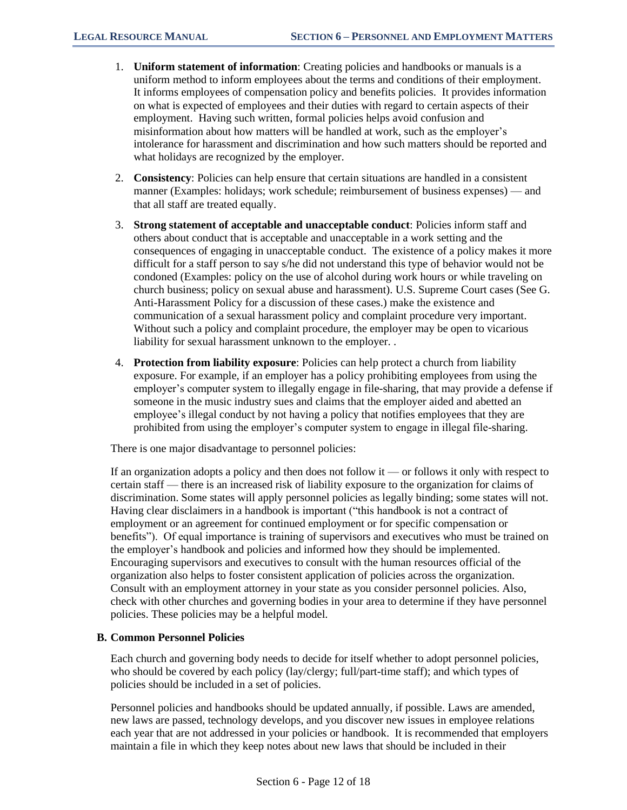- 1. **Uniform statement of information**: Creating policies and handbooks or manuals is a uniform method to inform employees about the terms and conditions of their employment. It informs employees of compensation policy and benefits policies. It provides information on what is expected of employees and their duties with regard to certain aspects of their employment. Having such written, formal policies helps avoid confusion and misinformation about how matters will be handled at work, such as the employer's intolerance for harassment and discrimination and how such matters should be reported and what holidays are recognized by the employer.
- 2. **Consistency**: Policies can help ensure that certain situations are handled in a consistent manner (Examples: holidays; work schedule; reimbursement of business expenses) — and that all staff are treated equally.
- 3. **Strong statement of acceptable and unacceptable conduct**: Policies inform staff and others about conduct that is acceptable and unacceptable in a work setting and the consequences of engaging in unacceptable conduct. The existence of a policy makes it more difficult for a staff person to say s/he did not understand this type of behavior would not be condoned (Examples: policy on the use of alcohol during work hours or while traveling on church business; policy on sexual abuse and harassment). U.S. Supreme Court cases (See G. Anti-Harassment Policy for a discussion of these cases.) make the existence and communication of a sexual harassment policy and complaint procedure very important. Without such a policy and complaint procedure, the employer may be open to vicarious liability for sexual harassment unknown to the employer. .
- 4. **Protection from liability exposure**: Policies can help protect a church from liability exposure. For example, if an employer has a policy prohibiting employees from using the employer's computer system to illegally engage in file-sharing, that may provide a defense if someone in the music industry sues and claims that the employer aided and abetted an employee's illegal conduct by not having a policy that notifies employees that they are prohibited from using the employer's computer system to engage in illegal file-sharing.

There is one major disadvantage to personnel policies:

If an organization adopts a policy and then does not follow it — or follows it only with respect to certain staff — there is an increased risk of liability exposure to the organization for claims of discrimination. Some states will apply personnel policies as legally binding; some states will not. Having clear disclaimers in a handbook is important ("this handbook is not a contract of employment or an agreement for continued employment or for specific compensation or benefits"). Of equal importance is training of supervisors and executives who must be trained on the employer's handbook and policies and informed how they should be implemented. Encouraging supervisors and executives to consult with the human resources official of the organization also helps to foster consistent application of policies across the organization. Consult with an employment attorney in your state as you consider personnel policies. Also, check with other churches and governing bodies in your area to determine if they have personnel policies. These policies may be a helpful model.

## **B. Common Personnel Policies**

Each church and governing body needs to decide for itself whether to adopt personnel policies, who should be covered by each policy (lay/clergy; full/part-time staff); and which types of policies should be included in a set of policies.

Personnel policies and handbooks should be updated annually, if possible. Laws are amended, new laws are passed, technology develops, and you discover new issues in employee relations each year that are not addressed in your policies or handbook. It is recommended that employers maintain a file in which they keep notes about new laws that should be included in their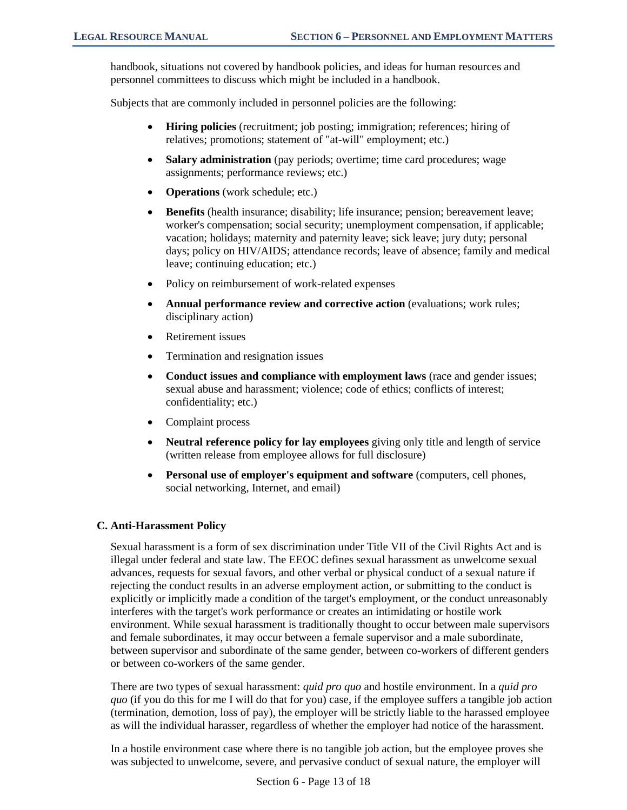handbook, situations not covered by handbook policies, and ideas for human resources and personnel committees to discuss which might be included in a handbook.

Subjects that are commonly included in personnel policies are the following:

- **Hiring policies** (recruitment; job posting; immigration; references; hiring of relatives; promotions; statement of "at-will" employment; etc.)
- **Salary administration** (pay periods; overtime; time card procedures; wage assignments; performance reviews; etc.)
- **Operations** (work schedule; etc.)
- **Benefits** (health insurance; disability; life insurance; pension; bereavement leave; worker's compensation; social security; unemployment compensation, if applicable; vacation; holidays; maternity and paternity leave; sick leave; jury duty; personal days; policy on HIV/AIDS; attendance records; leave of absence; family and medical leave; continuing education; etc.)
- Policy on reimbursement of work-related expenses
- **Annual performance review and corrective action** (evaluations; work rules; disciplinary action)
- Retirement issues
- Termination and resignation issues
- **Conduct issues and compliance with employment laws** (race and gender issues; sexual abuse and harassment; violence; code of ethics; conflicts of interest; confidentiality; etc.)
- Complaint process
- **Neutral reference policy for lay employees** giving only title and length of service (written release from employee allows for full disclosure)
- **Personal use of employer's equipment and software** (computers, cell phones, social networking, Internet, and email)

## **C. Anti-Harassment Policy**

Sexual harassment is a form of sex discrimination under Title VII of the Civil Rights Act and is illegal under federal and state law. The EEOC defines sexual harassment as unwelcome sexual advances, requests for sexual favors, and other verbal or physical conduct of a sexual nature if rejecting the conduct results in an adverse employment action, or submitting to the conduct is explicitly or implicitly made a condition of the target's employment, or the conduct unreasonably interferes with the target's work performance or creates an intimidating or hostile work environment. While sexual harassment is traditionally thought to occur between male supervisors and female subordinates, it may occur between a female supervisor and a male subordinate, between supervisor and subordinate of the same gender, between co-workers of different genders or between co-workers of the same gender.

There are two types of sexual harassment: *quid pro quo* and hostile environment. In a *quid pro quo* (if you do this for me I will do that for you) case, if the employee suffers a tangible job action (termination, demotion, loss of pay), the employer will be strictly liable to the harassed employee as will the individual harasser, regardless of whether the employer had notice of the harassment.

In a hostile environment case where there is no tangible job action, but the employee proves she was subjected to unwelcome, severe, and pervasive conduct of sexual nature, the employer will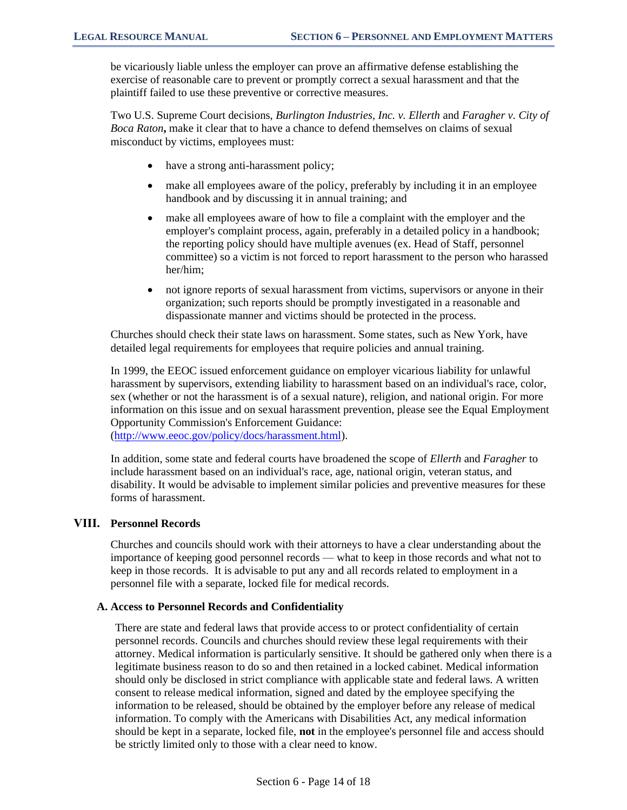be vicariously liable unless the employer can prove an affirmative defense establishing the exercise of reasonable care to prevent or promptly correct a sexual harassment and that the plaintiff failed to use these preventive or corrective measures.

Two U.S. Supreme Court decisions, *Burlington Industries, Inc. v. Ellerth* and *Faragher v. City of Boca Raton***,** make it clear that to have a chance to defend themselves on claims of sexual misconduct by victims, employees must:

- have a strong anti-harassment policy;
- make all employees aware of the policy, preferably by including it in an employee handbook and by discussing it in annual training; and
- make all employees aware of how to file a complaint with the employer and the employer's complaint process, again, preferably in a detailed policy in a handbook; the reporting policy should have multiple avenues (ex. Head of Staff, personnel committee) so a victim is not forced to report harassment to the person who harassed her/him;
- not ignore reports of sexual harassment from victims, supervisors or anyone in their organization; such reports should be promptly investigated in a reasonable and dispassionate manner and victims should be protected in the process.

Churches should check their state laws on harassment. Some states, such as New York, have detailed legal requirements for employees that require policies and annual training.

In 1999, the EEOC issued enforcement guidance on employer vicarious liability for unlawful harassment by supervisors, extending liability to harassment based on an individual's race, color, sex (whether or not the harassment is of a sexual nature), religion, and national origin. For more information on this issue and on sexual harassment prevention, please see the Equal Employment Opportunity Commission's Enforcement Guidance:

[\(http://www.eeoc.gov/policy/docs/harassment.html\)](http://www.eeoc.gov/policy/docs/harassment.html).

In addition, some state and federal courts have broadened the scope of *Ellerth* and *Faragher* to include harassment based on an individual's race, age, national origin, veteran status, and disability. It would be advisable to implement similar policies and preventive measures for these forms of harassment.

# **VIII. Personnel Records**

Churches and councils should work with their attorneys to have a clear understanding about the importance of keeping good personnel records — what to keep in those records and what not to keep in those records. It is advisable to put any and all records related to employment in a personnel file with a separate, locked file for medical records.

#### **A. Access to Personnel Records and Confidentiality**

There are state and federal laws that provide access to or protect confidentiality of certain personnel records. Councils and churches should review these legal requirements with their attorney. Medical information is particularly sensitive. It should be gathered only when there is a legitimate business reason to do so and then retained in a locked cabinet. Medical information should only be disclosed in strict compliance with applicable state and federal laws. A written consent to release medical information, signed and dated by the employee specifying the information to be released, should be obtained by the employer before any release of medical information. To comply with the Americans with Disabilities Act, any medical information should be kept in a separate, locked file, **not** in the employee's personnel file and access should be strictly limited only to those with a clear need to know.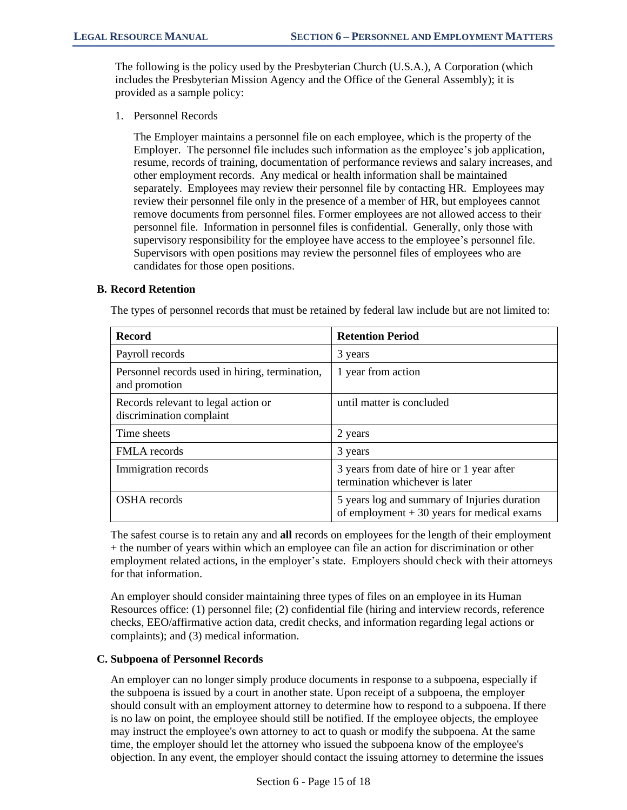The following is the policy used by the Presbyterian Church (U.S.A.), A Corporation (which includes the Presbyterian Mission Agency and the Office of the General Assembly); it is provided as a sample policy:

1. Personnel Records

The Employer maintains a personnel file on each employee, which is the property of the Employer. The personnel file includes such information as the employee's job application, resume, records of training, documentation of performance reviews and salary increases, and other employment records. Any medical or health information shall be maintained separately. Employees may review their personnel file by contacting HR. Employees may review their personnel file only in the presence of a member of HR, but employees cannot remove documents from personnel files. Former employees are not allowed access to their personnel file. Information in personnel files is confidential. Generally, only those with supervisory responsibility for the employee have access to the employee's personnel file. Supervisors with open positions may review the personnel files of employees who are candidates for those open positions.

#### **B. Record Retention**

The types of personnel records that must be retained by federal law include but are not limited to:

| <b>Record</b>                                                   | <b>Retention Period</b>                                                                     |
|-----------------------------------------------------------------|---------------------------------------------------------------------------------------------|
| Payroll records                                                 | 3 years                                                                                     |
| Personnel records used in hiring, termination,<br>and promotion | 1 year from action                                                                          |
| Records relevant to legal action or<br>discrimination complaint | until matter is concluded                                                                   |
| Time sheets                                                     | 2 years                                                                                     |
| <b>FMLA</b> records                                             | 3 years                                                                                     |
| Immigration records                                             | 3 years from date of hire or 1 year after<br>termination whichever is later                 |
| <b>OSHA</b> records                                             | 5 years log and summary of Injuries duration<br>of employment $+30$ years for medical exams |

The safest course is to retain any and **all** records on employees for the length of their employment + the number of years within which an employee can file an action for discrimination or other employment related actions, in the employer's state. Employers should check with their attorneys for that information.

An employer should consider maintaining three types of files on an employee in its Human Resources office: (1) personnel file; (2) confidential file (hiring and interview records, reference checks, EEO/affirmative action data, credit checks, and information regarding legal actions or complaints); and (3) medical information.

## **C. Subpoena of Personnel Records**

An employer can no longer simply produce documents in response to a subpoena, especially if the subpoena is issued by a court in another state. Upon receipt of a subpoena, the employer should consult with an employment attorney to determine how to respond to a subpoena. If there is no law on point, the employee should still be notified. If the employee objects, the employee may instruct the employee's own attorney to act to quash or modify the subpoena. At the same time, the employer should let the attorney who issued the subpoena know of the employee's objection. In any event, the employer should contact the issuing attorney to determine the issues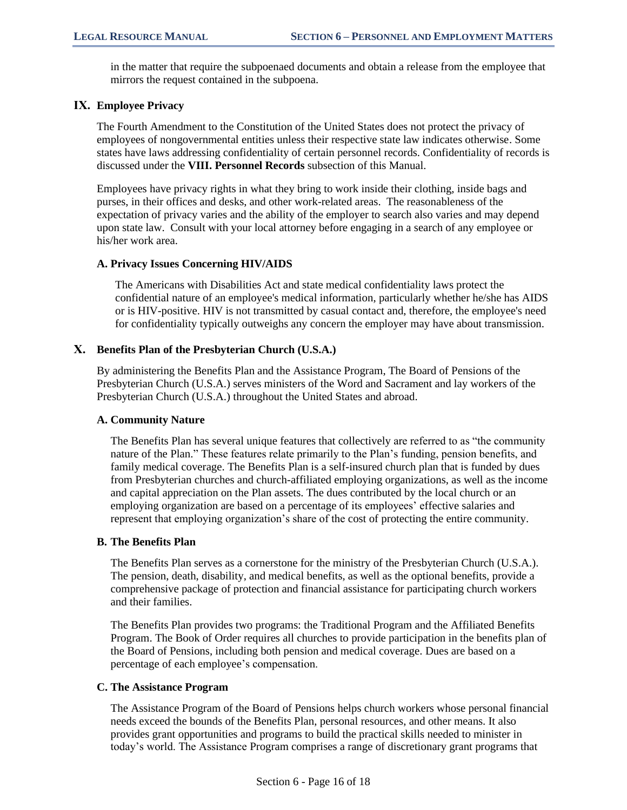in the matter that require the subpoenaed documents and obtain a release from the employee that mirrors the request contained in the subpoena.

# **IX. Employee Privacy**

The Fourth Amendment to the Constitution of the United States does not protect the privacy of employees of nongovernmental entities unless their respective state law indicates otherwise. Some states have laws addressing confidentiality of certain personnel records. Confidentiality of records is discussed under the **VIII. Personnel Records** subsection of this Manual.

Employees have privacy rights in what they bring to work inside their clothing, inside bags and purses, in their offices and desks, and other work-related areas. The reasonableness of the expectation of privacy varies and the ability of the employer to search also varies and may depend upon state law. Consult with your local attorney before engaging in a search of any employee or his/her work area.

## **A. Privacy Issues Concerning HIV/AIDS**

The Americans with Disabilities Act and state medical confidentiality laws protect the confidential nature of an employee's medical information, particularly whether he/she has AIDS or is HIV-positive. HIV is not transmitted by casual contact and, therefore, the employee's need for confidentiality typically outweighs any concern the employer may have about transmission.

# **X. Benefits Plan of the Presbyterian Church (U.S.A.)**

By administering the Benefits Plan and the Assistance Program, The Board of Pensions of the Presbyterian Church (U.S.A.) serves ministers of the Word and Sacrament and lay workers of the Presbyterian Church (U.S.A.) throughout the United States and abroad.

## **A. Community Nature**

The Benefits Plan has several unique features that collectively are referred to as "the community nature of the Plan." These features relate primarily to the Plan's funding, pension benefits, and family medical coverage. The Benefits Plan is a self-insured church plan that is funded by dues from Presbyterian churches and church-affiliated employing organizations, as well as the income and capital appreciation on the Plan assets. The dues contributed by the local church or an employing organization are based on a percentage of its employees' effective salaries and represent that employing organization's share of the cost of protecting the entire community.

## **B. The Benefits Plan**

The Benefits Plan serves as a cornerstone for the ministry of the Presbyterian Church (U.S.A.). The pension, death, disability, and medical benefits, as well as the optional benefits, provide a comprehensive package of protection and financial assistance for participating church workers and their families.

The Benefits Plan provides two programs: the Traditional Program and the Affiliated Benefits Program. The Book of Order requires all churches to provide participation in the benefits plan of the Board of Pensions, including both pension and medical coverage. Dues are based on a percentage of each employee's compensation.

## **C. The Assistance Program**

The Assistance Program of the Board of Pensions helps church workers whose personal financial needs exceed the bounds of the Benefits Plan, personal resources, and other means. It also provides grant opportunities and programs to build the practical skills needed to minister in today's world. The Assistance Program comprises a range of discretionary grant programs that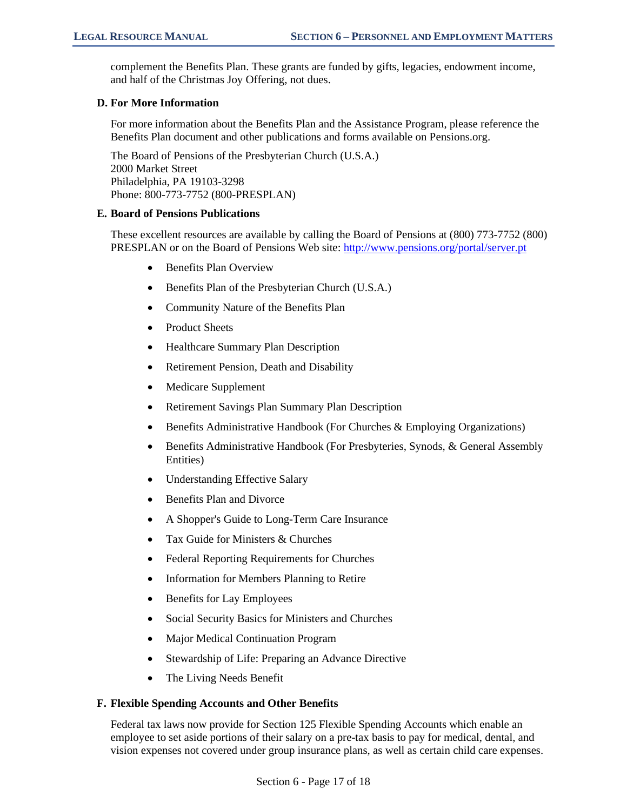complement the Benefits Plan. These grants are funded by gifts, legacies, endowment income, and half of the Christmas Joy Offering, not dues.

#### **D. For More Information**

For more information about the Benefits Plan and the Assistance Program, please reference the Benefits Plan document and other publications and forms available on Pensions.org.

The Board of Pensions of the Presbyterian Church (U.S.A.) 2000 Market Street Philadelphia, PA 19103-3298 Phone: 800-773-7752 (800-PRESPLAN)

#### **E. Board of Pensions Publications**

These excellent resources are available by calling the Board of Pensions at (800) 773-7752 (800) PRESPLAN or on the Board of Pensions Web site: <http://www.pensions.org/portal/server.pt>

- Benefits Plan Overview
- Benefits Plan of the Presbyterian Church (U.S.A.)
- Community Nature of the Benefits Plan
- Product Sheets
- Healthcare Summary Plan Description
- Retirement Pension, Death and Disability
- Medicare Supplement
- Retirement Savings Plan Summary Plan Description
- Benefits Administrative Handbook (For Churches & Employing Organizations)
- Benefits Administrative Handbook (For Presbyteries, Synods, & General Assembly Entities)
- Understanding Effective Salary
- Benefits Plan and Divorce
- A Shopper's Guide to Long-Term Care Insurance
- Tax Guide for Ministers & Churches
- Federal Reporting Requirements for Churches
- Information for Members Planning to Retire
- Benefits for Lay Employees
- Social Security Basics for Ministers and Churches
- Major Medical Continuation Program
- Stewardship of Life: Preparing an Advance Directive
- The Living Needs Benefit

## **F. Flexible Spending Accounts and Other Benefits**

Federal tax laws now provide for Section 125 Flexible Spending Accounts which enable an employee to set aside portions of their salary on a pre-tax basis to pay for medical, dental, and vision expenses not covered under group insurance plans, as well as certain child care expenses.